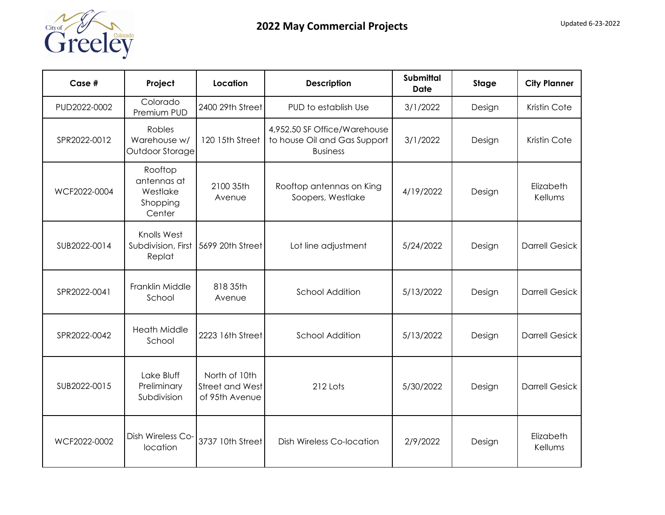

| Case #       | Project                                                  | Location                                           | <b>Description</b>                                                              | <b>Submittal</b><br>Date | <b>Stage</b> | <b>City Planner</b>   |
|--------------|----------------------------------------------------------|----------------------------------------------------|---------------------------------------------------------------------------------|--------------------------|--------------|-----------------------|
| PUD2022-0002 | Colorado<br>Premium PUD                                  | 2400 29th Street                                   | PUD to establish Use                                                            | 3/1/2022                 | Design       | Kristin Cote          |
| SPR2022-0012 | Robles<br>Warehouse w/<br>Outdoor Storage                | 120 15th Street                                    | 4,952.50 SF Office/Warehouse<br>to house Oil and Gas Support<br><b>Business</b> | 3/1/2022                 | Design       | Kristin Cote          |
| WCF2022-0004 | Rooftop<br>antennas at<br>Westlake<br>Shopping<br>Center | 2100 35th<br>Avenue                                | Rooftop antennas on King<br>Soopers, Westlake                                   | 4/19/2022                | Design       | Elizabeth<br>Kellums  |
| SUB2022-0014 | Knolls West<br>Subdivision, First<br>Replat              | 5699 20th Street                                   | Lot line adjustment                                                             | 5/24/2022                | Design       | <b>Darrell Gesick</b> |
| SPR2022-0041 | Franklin Middle<br>School                                | 818 35th<br>Avenue                                 | <b>School Addition</b>                                                          | 5/13/2022                | Design       | <b>Darrell Gesick</b> |
| SPR2022-0042 | <b>Heath Middle</b><br>School                            | 2223 16th Street                                   | <b>School Addition</b>                                                          | 5/13/2022                | Design       | <b>Darrell Gesick</b> |
| SUB2022-0015 | Lake Bluff<br>Preliminary<br>Subdivision                 | North of 10th<br>Street and West<br>of 95th Avenue | 212 Lots                                                                        | 5/30/2022                | Design       | <b>Darrell Gesick</b> |
| WCF2022-0002 | Dish Wireless Co-<br>location                            | 3737 10th Street                                   | <b>Dish Wireless Co-location</b>                                                | 2/9/2022                 | Design       | Elizabeth<br>Kellums  |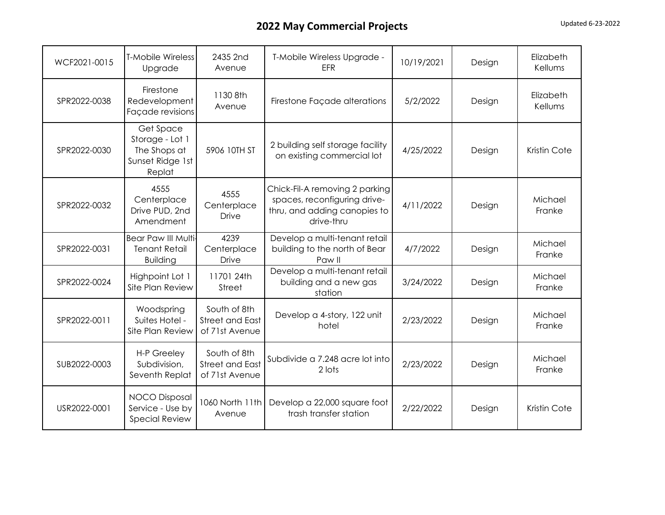| WCF2021-0015 | <b>T-Mobile Wireless</b><br>Upgrade                                        | 2435 2nd<br>Avenue                                       | T-Mobile Wireless Upgrade -<br><b>EFR</b>                                                                    | 10/19/2021 | Design | Elizabeth<br>Kellums |
|--------------|----------------------------------------------------------------------------|----------------------------------------------------------|--------------------------------------------------------------------------------------------------------------|------------|--------|----------------------|
| SPR2022-0038 | Firestone<br>Redevelopment<br>Façade revisions                             | 1130 8th<br>Avenue                                       | Firestone Façade alterations                                                                                 | 5/2/2022   | Design | Elizabeth<br>Kellums |
| SPR2022-0030 | Get Space<br>Storage - Lot 1<br>The Shops at<br>Sunset Ridge 1st<br>Replat | 5906 10TH ST                                             | 2 building self storage facility<br>on existing commercial lot                                               | 4/25/2022  | Design | Kristin Cote         |
| SPR2022-0032 | 4555<br>Centerplace<br>Drive PUD, 2nd<br>Amendment                         | 4555<br>Centerplace<br><b>Drive</b>                      | Chick-Fil-A removing 2 parking<br>spaces, reconfiguring drive-<br>thru, and adding canopies to<br>drive-thru | 4/11/2022  | Design | Michael<br>Franke    |
| SPR2022-0031 | <b>Bear Paw III Multi-</b><br><b>Tenant Retail</b><br><b>Building</b>      | 4239<br>Centerplace<br><b>Drive</b>                      | Develop a multi-tenant retail<br>building to the north of Bear<br>Paw II                                     | 4/7/2022   | Design | Michael<br>Franke    |
| SPR2022-0024 | Highpoint Lot 1<br>Site Plan Review                                        | 11701 24th<br><b>Street</b>                              | Develop a multi-tenant retail<br>building and a new gas<br>station                                           | 3/24/2022  | Design | Michael<br>Franke    |
| SPR2022-0011 | Woodspring<br>Suites Hotel -<br>Site Plan Review                           | South of 8th<br>Street and East<br>of 71st Avenue        | Develop a 4-story, 122 unit<br>hotel                                                                         | 2/23/2022  | Design | Michael<br>Franke    |
| SUB2022-0003 | H-P Greeley<br>Subdivision,<br>Seventh Replat                              | South of 8th<br><b>Street and East</b><br>of 71st Avenue | Subdivide a 7.248 acre lot into<br>2 lots                                                                    | 2/23/2022  | Design | Michael<br>Franke    |
| USR2022-0001 | <b>NOCO Disposal</b><br>Service - Use by<br><b>Special Review</b>          | 1060 North 11th<br>Avenue                                | Develop a 22,000 square foot<br>trash transfer station                                                       | 2/22/2022  | Design | Kristin Cote         |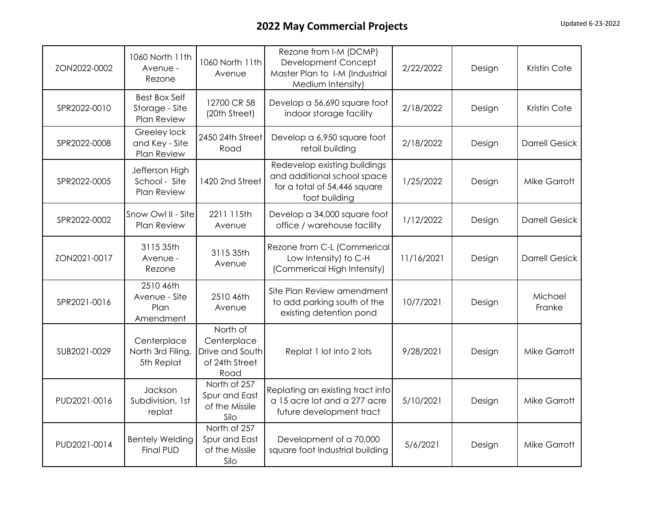| ZON2022-0002 | 1060 North 11th<br>Avenue -<br>Rezone                 | 1060 North 11th<br>Avenue                                            | Rezone from I-M (DCMP)<br>Development Concept<br>Master Plan to I-M (Industrial<br>Medium Intensity)         | 2/22/2022  | Design | Kristin Cote          |
|--------------|-------------------------------------------------------|----------------------------------------------------------------------|--------------------------------------------------------------------------------------------------------------|------------|--------|-----------------------|
| SPR2022-0010 | <b>Best Box Self</b><br>Storage - Site<br>Plan Review | 12700 CR 58<br>(20th Street)                                         | Develop a 56,690 square foot<br>indoor storage facility                                                      | 2/18/2022  | Design | Kristin Cote          |
| SPR2022-0008 | Greeley lock<br>and Key - Site<br>Plan Review         | 2450 24th Street<br>Road                                             | Develop a 6,950 square foot<br>retail building                                                               | 2/18/2022  | Design | <b>Darrell Gesick</b> |
| SPR2022-0005 | Jefferson High<br>School - Site<br>Plan Review        | 1420 2nd Street                                                      | Redevelop existing buildings<br>and additional school space<br>for a total of 54,446 square<br>foot building | 1/25/2022  | Design | <b>Mike Garrott</b>   |
| SPR2022-0002 | Snow Owl II - Site<br>Plan Review                     | 2211 115th<br>Avenue                                                 | Develop a 34,000 square foot<br>office / warehouse facility                                                  | 1/12/2022  | Design | <b>Darrell Gesick</b> |
| ZON2021-0017 | 3115 35th<br>Avenue -<br>Rezone                       | 3115 35th<br>Avenue                                                  | Rezone from C-L (Commerical<br>Low Intensity) to C-H<br>(Commerical High Intensity)                          | 11/16/2021 | Design | <b>Darrell Gesick</b> |
| SPR2021-0016 | 2510 46th<br>Avenue - Site<br>Plan<br>Amendment       | 2510 46th<br>Avenue                                                  | Site Plan Review amendment<br>to add parking south of the<br>existing detention pond                         | 10/7/2021  | Design | Michael<br>Franke     |
| SUB2021-0029 | Centerplace<br>North 3rd Filing,<br>5th Replat        | North of<br>Centerplace<br>Drive and South<br>of 24th Street<br>Road | Replat 1 lot into 2 lots                                                                                     | 9/28/2021  | Design | <b>Mike Garrott</b>   |
| PUD2021-0016 | Jackson<br>Subdivision, 1st<br>replat                 | North of 257<br>Spur and East<br>of the Missile<br>Silo              | Replating an existing tract into<br>a 15 acre lot and a 277 acre<br>future development tract                 | 5/10/2021  | Design | <b>Mike Garrott</b>   |
| PUD2021-0014 | <b>Bentely Welding</b><br><b>Final PUD</b>            | North of 257<br>Spur and East<br>of the Missile<br>Silo              | Development of a 70,000<br>square foot industrial building                                                   | 5/6/2021   | Design | <b>Mike Garrott</b>   |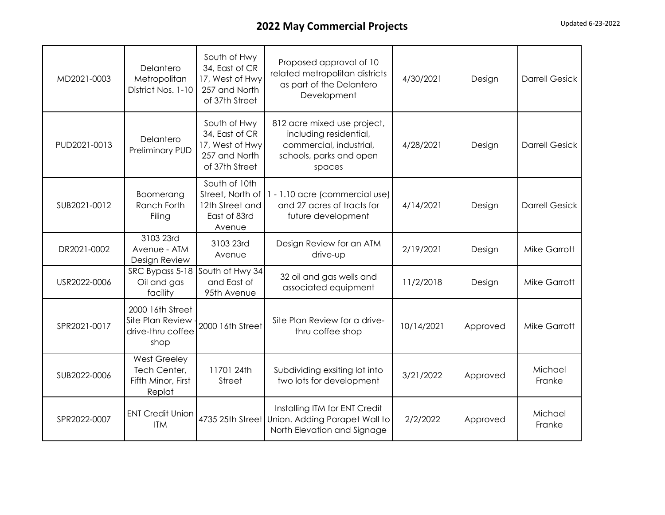| MD2021-0003  | Delantero<br>Metropolitan<br>District Nos. 1-10                     | South of Hwy<br>34, East of CR<br>17, West of Hwy<br>257 and North<br>of 37th Street | Proposed approval of 10<br>related metropolitan districts<br>as part of the Delantero<br>Development                  | 4/30/2021  | Design   | <b>Darrell Gesick</b> |
|--------------|---------------------------------------------------------------------|--------------------------------------------------------------------------------------|-----------------------------------------------------------------------------------------------------------------------|------------|----------|-----------------------|
| PUD2021-0013 | Delantero<br>Preliminary PUD                                        | South of Hwy<br>34, East of CR<br>17, West of Hwy<br>257 and North<br>of 37th Street | 812 acre mixed use project,<br>including residential,<br>commercial, industrial,<br>schools, parks and open<br>spaces | 4/28/2021  | Design   | <b>Darrell Gesick</b> |
| SUB2021-0012 | Boomerang<br>Ranch Forth<br>Filing                                  | South of 10th<br>Street, North of<br>12th Street and<br>East of 83rd<br>Avenue       | 1 - 1.10 acre (commercial use)<br>and 27 acres of tracts for<br>future development                                    | 4/14/2021  | Design   | <b>Darrell Gesick</b> |
| DR2021-0002  | 3103 23rd<br>Avenue - ATM<br>Design Review                          | 3103 23rd<br>Avenue                                                                  | Design Review for an ATM<br>drive-up                                                                                  | 2/19/2021  | Design   | <b>Mike Garrott</b>   |
| USR2022-0006 | SRC Bypass 5-18<br>Oil and gas<br>facility                          | South of Hwy 34<br>and East of<br>95th Avenue                                        | 32 oil and gas wells and<br>associated equipment                                                                      | 11/2/2018  | Design   | <b>Mike Garrott</b>   |
| SPR2021-0017 | 2000 16th Street<br>Site Plan Review<br>drive-thru coffee<br>shop   | 2000 16th Street                                                                     | Site Plan Review for a drive-<br>thru coffee shop                                                                     | 10/14/2021 | Approved | <b>Mike Garrott</b>   |
| SUB2022-0006 | <b>West Greeley</b><br>Tech Center,<br>Fifth Minor, First<br>Replat | 11701 24th<br>Street                                                                 | Subdividing exsiting lot into<br>two lots for development                                                             | 3/21/2022  | Approved | Michael<br>Franke     |
| SPR2022-0007 | <b>ENT Credit Union</b><br><b>ITM</b>                               |                                                                                      | Installing ITM for ENT Credit<br>4735 25th Street Union. Adding Parapet Wall to<br>North Elevation and Signage        | 2/2/2022   | Approved | Michael<br>Franke     |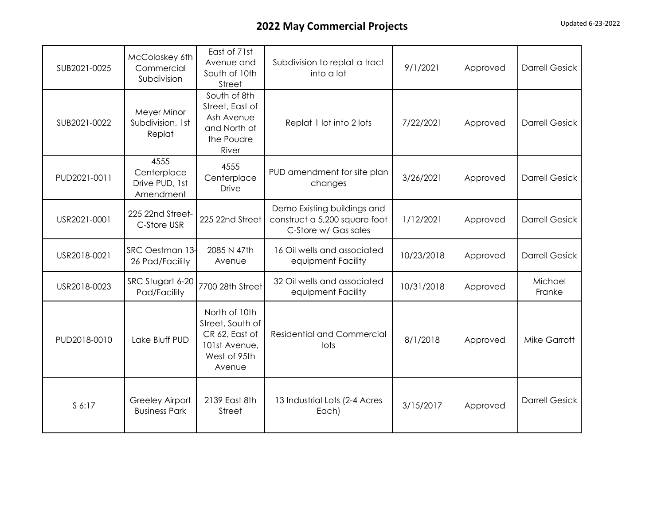| SUB2021-0025 | McColoskey 6th<br>Commercial<br>Subdivision        | East of 71st<br>Avenue and<br>South of 10th<br>Street                                          | Subdivision to replat a tract<br>into a lot                                          | 9/1/2021   | Approved | <b>Darrell Gesick</b> |
|--------------|----------------------------------------------------|------------------------------------------------------------------------------------------------|--------------------------------------------------------------------------------------|------------|----------|-----------------------|
| SUB2021-0022 | Meyer Minor<br>Subdivision, 1st<br>Replat          | South of 8th<br>Street, East of<br>Ash Avenue<br>and North of<br>the Poudre<br>River           | Replat 1 lot into 2 lots                                                             | 7/22/2021  | Approved | <b>Darrell Gesick</b> |
| PUD2021-0011 | 4555<br>Centerplace<br>Drive PUD, 1st<br>Amendment | 4555<br>Centerplace<br><b>Drive</b>                                                            | PUD amendment for site plan<br>changes                                               | 3/26/2021  | Approved | <b>Darrell Gesick</b> |
| USR2021-0001 | 225 22nd Street-<br>C-Store USR                    | 225 22nd Street                                                                                | Demo Existing buildings and<br>construct a 5,200 square foot<br>C-Store w/ Gas sales | 1/12/2021  | Approved | <b>Darrell Gesick</b> |
| USR2018-0021 | SRC Oestman 13-<br>26 Pad/Facility                 | 2085 N 47th<br>Avenue                                                                          | 16 Oil wells and associated<br>equipment Facility                                    | 10/23/2018 | Approved | <b>Darrell Gesick</b> |
| USR2018-0023 | SRC Stugart 6-20<br>Pad/Facility                   | 7700 28th Street                                                                               | 32 Oil wells and associated<br>equipment Facility                                    | 10/31/2018 | Approved | Michael<br>Franke     |
| PUD2018-0010 | Lake Bluff PUD                                     | North of 10th<br>Street, South of<br>CR 62, East of<br>101st Avenue,<br>West of 95th<br>Avenue | <b>Residential and Commercial</b><br>lots                                            | 8/1/2018   | Approved | <b>Mike Garrott</b>   |
| S 6:17       | <b>Greeley Airport</b><br><b>Business Park</b>     | 2139 East 8th<br>Street                                                                        | 13 Industrial Lots (2-4 Acres<br>Each)                                               | 3/15/2017  | Approved | <b>Darrell Gesick</b> |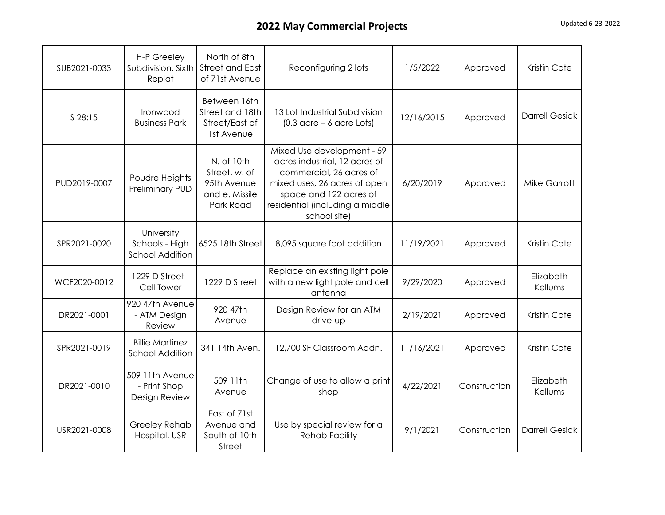| SUB2021-0033 | H-P Greeley<br>Subdivision, Sixth<br>Replat            | North of 8th<br>Street and East<br>of 71st Avenue                         | Reconfiguring 2 lots                                                                                                                                                                                | 1/5/2022   | Approved     | Kristin Cote          |
|--------------|--------------------------------------------------------|---------------------------------------------------------------------------|-----------------------------------------------------------------------------------------------------------------------------------------------------------------------------------------------------|------------|--------------|-----------------------|
| S 28:15      | Ironwood<br><b>Business Park</b>                       | Between 16th<br>Street and 18th<br>Street/East of<br>1st Avenue           | 13 Lot Industrial Subdivision<br>$(0.3 \text{ acre} - 6 \text{ acre} \text{ lots})$                                                                                                                 | 12/16/2015 | Approved     | <b>Darrell Gesick</b> |
| PUD2019-0007 | Poudre Heights<br><b>Preliminary PUD</b>               | N. of 10th<br>Street, w. of<br>95th Avenue<br>and e. Missile<br>Park Road | Mixed Use development - 59<br>acres industrial, 12 acres of<br>commercial, 26 acres of<br>mixed uses, 26 acres of open<br>space and 122 acres of<br>residential (including a middle<br>school site) | 6/20/2019  | Approved     | <b>Mike Garrott</b>   |
| SPR2021-0020 | University<br>Schools - High<br><b>School Addition</b> | 6525 18th Street                                                          | 8,095 square foot addition                                                                                                                                                                          | 11/19/2021 | Approved     | Kristin Cote          |
| WCF2020-0012 | 1229 D Street -<br>Cell Tower                          | 1229 D Street                                                             | Replace an existing light pole<br>with a new light pole and cell<br>antenna                                                                                                                         | 9/29/2020  | Approved     | Elizabeth<br>Kellums  |
| DR2021-0001  | 920 47th Avenue<br>- ATM Design<br>Review              | 920 47th<br>Avenue                                                        | Design Review for an ATM<br>drive-up                                                                                                                                                                | 2/19/2021  | Approved     | Kristin Cote          |
| SPR2021-0019 | <b>Billie Martinez</b><br><b>School Addition</b>       | 341 14th Aven.                                                            | 12,700 SF Classroom Addn.                                                                                                                                                                           | 11/16/2021 | Approved     | Kristin Cote          |
| DR2021-0010  | 509 11th Avenue<br>- Print Shop<br>Design Review       | 509 11th<br>Avenue                                                        | Change of use to allow a print<br>shop                                                                                                                                                              | 4/22/2021  | Construction | Elizabeth<br>Kellums  |
| USR2021-0008 | Greeley Rehab<br>Hospital, USR                         | East of 71st<br>Avenue and<br>South of 10th<br>Street                     | Use by special review for a<br><b>Rehab Facility</b>                                                                                                                                                | 9/1/2021   | Construction | <b>Darrell Gesick</b> |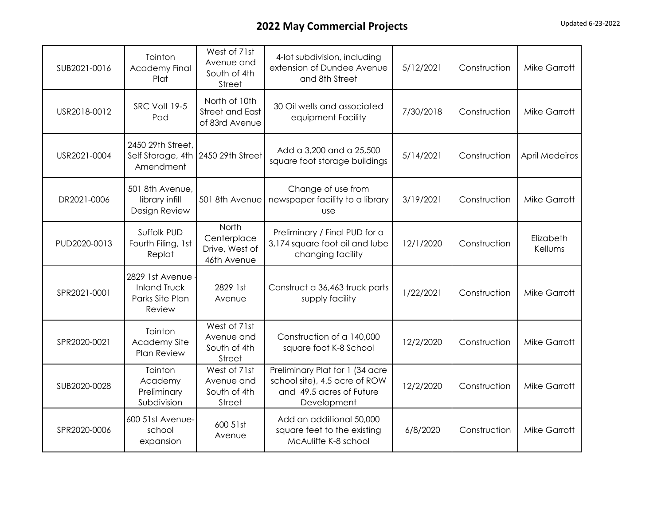| SUB2021-0016 | Tointon<br><b>Academy Final</b><br>Plat                              | West of 71st<br>Avenue and<br>South of 4th<br>Street      | 4-lot subdivision, including<br>extension of Dundee Avenue<br>and 8th Street                                | 5/12/2021 | Construction | <b>Mike Garrott</b>  |
|--------------|----------------------------------------------------------------------|-----------------------------------------------------------|-------------------------------------------------------------------------------------------------------------|-----------|--------------|----------------------|
| USR2018-0012 | SRC Volt 19-5<br>Pad                                                 | North of 10th<br><b>Street and East</b><br>of 83rd Avenue | 30 Oil wells and associated<br>equipment Facility                                                           | 7/30/2018 | Construction | <b>Mike Garrott</b>  |
| USR2021-0004 | 2450 29th Street,<br>Self Storage, 4th 2450 29th Street<br>Amendment |                                                           | Add a 3,200 and a 25,500<br>square foot storage buildings                                                   | 5/14/2021 | Construction | April Medeiros       |
| DR2021-0006  | 501 8th Avenue,<br>library infill<br>Design Review                   | 501 8th Avenue                                            | Change of use from<br>newspaper facility to a library<br><b>use</b>                                         | 3/19/2021 | Construction | <b>Mike Garrott</b>  |
| PUD2020-0013 | Suffolk PUD<br>Fourth Filing, 1st<br>Replat                          | North<br>Centerplace<br>Drive, West of<br>46th Avenue     | Preliminary / Final PUD for a<br>3,174 square foot oil and lube<br>changing facility                        | 12/1/2020 | Construction | Elizabeth<br>Kellums |
| SPR2021-0001 | 2829 1st Avenue<br><b>Inland Truck</b><br>Parks Site Plan<br>Review  | 2829 1st<br>Avenue                                        | Construct a 36,463 truck parts<br>supply facility                                                           | 1/22/2021 | Construction | Mike Garrott         |
| SPR2020-0021 | Tointon<br><b>Academy Site</b><br><b>Plan Review</b>                 | West of 71st<br>Avenue and<br>South of 4th<br>Street      | Construction of a 140,000<br>square foot K-8 School                                                         | 12/2/2020 | Construction | <b>Mike Garrott</b>  |
| SUB2020-0028 | Tointon<br>Academy<br>Preliminary<br>Subdivision                     | West of 71st<br>Avenue and<br>South of 4th<br>Street      | Preliminary Plat for 1 (34 acre<br>school site), 4.5 acre of ROW<br>and 49.5 acres of Future<br>Development | 12/2/2020 | Construction | <b>Mike Garrott</b>  |
| SPR2020-0006 | 600 51st Avenue-<br>school<br>expansion                              | 600 51st<br>Avenue                                        | Add an additional 50,000<br>square feet to the existing<br>McAuliffe K-8 school                             | 6/8/2020  | Construction | <b>Mike Garrott</b>  |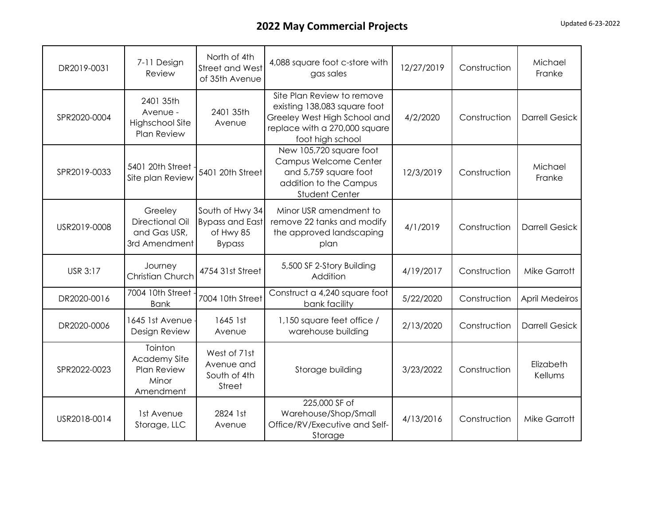| DR2019-0031     | 7-11 Design<br>Review                                               | North of 4th<br>Street and West<br>of 35th Avenue                       | 4,088 square foot c-store with<br>gas sales                                                                                                     | 12/27/2019 | Construction | Michael<br>Franke     |
|-----------------|---------------------------------------------------------------------|-------------------------------------------------------------------------|-------------------------------------------------------------------------------------------------------------------------------------------------|------------|--------------|-----------------------|
| SPR2020-0004    | 2401 35th<br>Avenue -<br>Highschool Site<br>Plan Review             | 2401 35th<br>Avenue                                                     | Site Plan Review to remove<br>existing 138,083 square foot<br>Greeley West High School and<br>replace with a 270,000 square<br>foot high school | 4/2/2020   | Construction | <b>Darrell Gesick</b> |
| SPR2019-0033    | 5401 20th Street<br>Site plan Review                                | 5401 20th Street                                                        | New 105,720 square foot<br>Campus Welcome Center<br>and 5,759 square foot<br>addition to the Campus<br>Student Center                           | 12/3/2019  | Construction | Michael<br>Franke     |
| USR2019-0008    | Greeley<br>Directional Oil<br>and Gas USR,<br>3rd Amendment         | South of Hwy 34<br><b>Bypass and East</b><br>of Hwy 85<br><b>Bypass</b> | Minor USR amendment to<br>remove 22 tanks and modify<br>the approved landscaping<br>plan                                                        | 4/1/2019   | Construction | <b>Darrell Gesick</b> |
| <b>USR 3:17</b> | Journey<br><b>Christian Church</b>                                  | 4754 31st Street                                                        | 5,500 SF 2-Story Building<br>Addition                                                                                                           | 4/19/2017  | Construction | <b>Mike Garrott</b>   |
| DR2020-0016     | 7004 10th Street<br><b>Bank</b>                                     | 7004 10th Street                                                        | Construct a 4,240 square foot<br>bank facility                                                                                                  | 5/22/2020  | Construction | <b>April Medeiros</b> |
| DR2020-0006     | 1645 1st Avenue<br>Design Review                                    | 1645 1st<br>Avenue                                                      | 1,150 square feet office /<br>warehouse building                                                                                                | 2/13/2020  | Construction | <b>Darrell Gesick</b> |
| SPR2022-0023    | Tointon<br><b>Academy Site</b><br>Plan Review<br>Minor<br>Amendment | West of 71st<br>Avenue and<br>South of 4th<br>Street                    | Storage building                                                                                                                                | 3/23/2022  | Construction | Elizabeth<br>Kellums  |
| USR2018-0014    | 1st Avenue<br>Storage, LLC                                          | 2824 1st<br>Avenue                                                      | 225,000 SF of<br>Warehouse/Shop/Small<br>Office/RV/Executive and Self-<br>Storage                                                               | 4/13/2016  | Construction | Mike Garrott          |